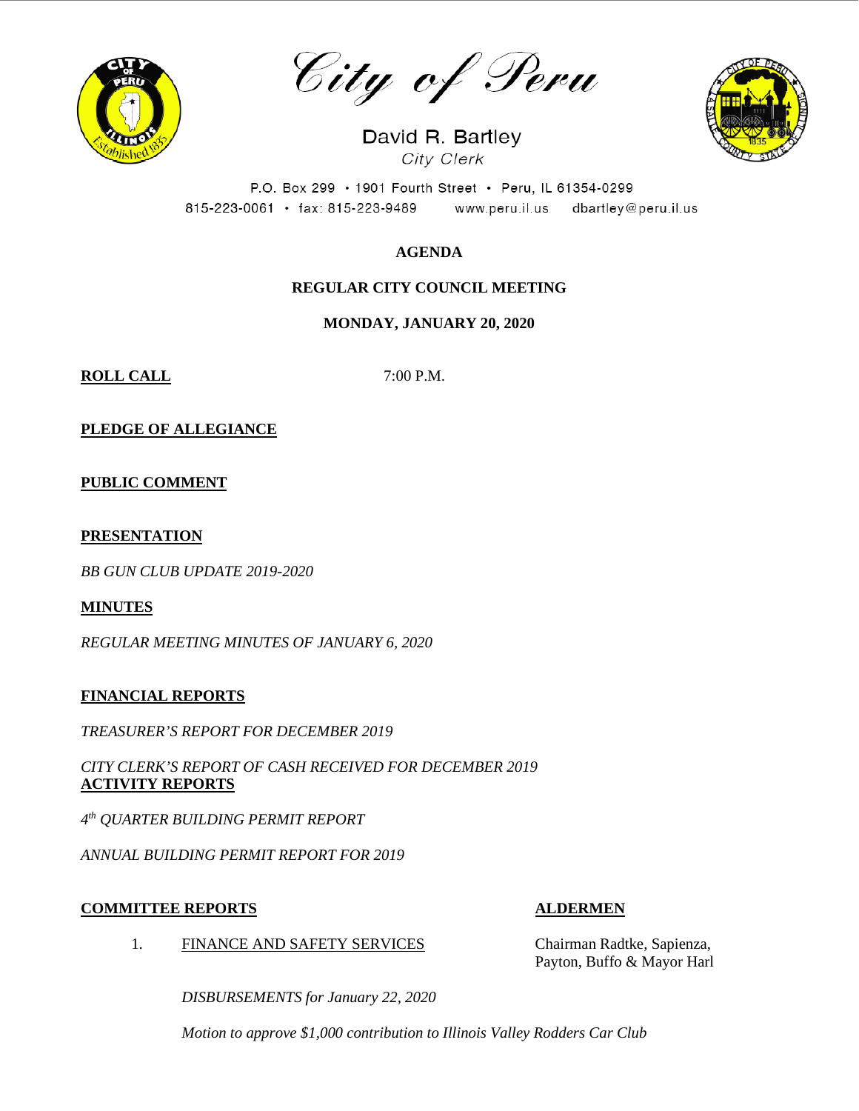

City of Peru

David R. Bartley City Clerk



P.O. Box 299 · 1901 Fourth Street · Peru, IL 61354-0299 815-223-0061 · fax: 815-223-9489 www.peru.il.us dbartley@peru.il.us

## **AGENDA**

## **REGULAR CITY COUNCIL MEETING**

### **MONDAY, JANUARY 20, 2020**

**ROLL CALL** 7:00 P.M.

**PLEDGE OF ALLEGIANCE**

**PUBLIC COMMENT**

#### **PRESENTATION**

*BB GUN CLUB UPDATE 2019-2020*

### **MINUTES**

*REGULAR MEETING MINUTES OF JANUARY 6, 2020*

#### **FINANCIAL REPORTS**

*TREASURER'S REPORT FOR DECEMBER 2019*

*CITY CLERK'S REPORT OF CASH RECEIVED FOR DECEMBER 2019* **ACTIVITY REPORTS**

*4th QUARTER BUILDING PERMIT REPORT*

*ANNUAL BUILDING PERMIT REPORT FOR 2019*

### **COMMITTEE REPORTS ALDERMEN**

1. FINANCE AND SAFETY SERVICES Chairman Radtke, Sapienza,

Payton, Buffo & Mayor Harl

*DISBURSEMENTS for January 22, 2020*

*Motion to approve \$1,000 contribution to Illinois Valley Rodders Car Club*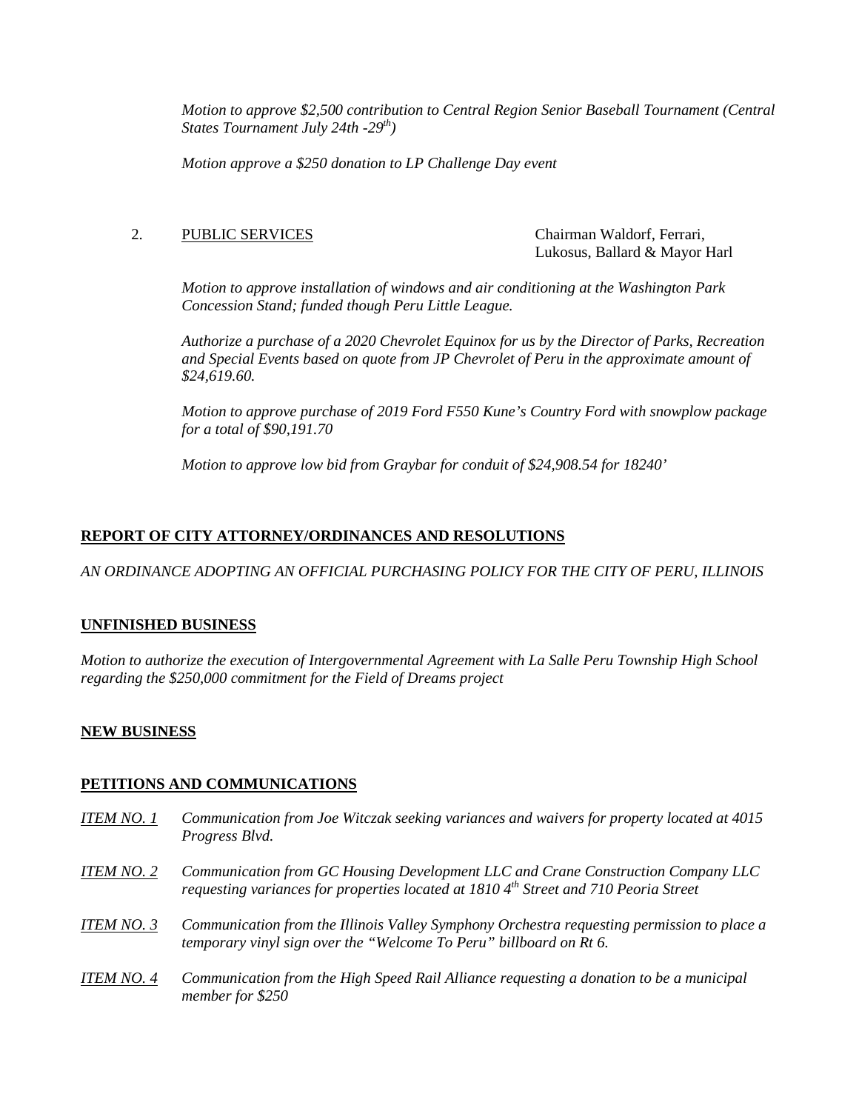*Motion to approve \$2,500 contribution to Central Region Senior Baseball Tournament (Central States Tournament July 24th -29th)*

*Motion approve a \$250 donation to LP Challenge Day event*

#### 2. PUBLIC SERVICES Chairman Waldorf, Ferrari,

Lukosus, Ballard & Mayor Harl

*Motion to approve installation of windows and air conditioning at the Washington Park Concession Stand; funded though Peru Little League.*

*Authorize a purchase of a 2020 Chevrolet Equinox for us by the Director of Parks, Recreation and Special Events based on quote from JP Chevrolet of Peru in the approximate amount of \$24,619.60.*

*Motion to approve purchase of 2019 Ford F550 Kune's Country Ford with snowplow package for a total of \$90,191.70*

*Motion to approve low bid from Graybar for conduit of \$24,908.54 for 18240'*

### **REPORT OF CITY ATTORNEY/ORDINANCES AND RESOLUTIONS**

*AN ORDINANCE ADOPTING AN OFFICIAL PURCHASING POLICY FOR THE CITY OF PERU, ILLINOIS*

#### **UNFINISHED BUSINESS**

*Motion to authorize the execution of Intergovernmental Agreement with La Salle Peru Township High School regarding the \$250,000 commitment for the Field of Dreams project*

#### **NEW BUSINESS**

#### **PETITIONS AND COMMUNICATIONS**

- *ITEM NO. 1 Communication from Joe Witczak seeking variances and waivers for property located at 4015 Progress Blvd.*
- *ITEM NO. 2 Communication from GC Housing Development LLC and Crane Construction Company LLC requesting variances for properties located at 1810 4th Street and 710 Peoria Street*
- *ITEM NO. 3 Communication from the Illinois Valley Symphony Orchestra requesting permission to place a temporary vinyl sign over the "Welcome To Peru" billboard on Rt 6.*
- *ITEM NO. 4 Communication from the High Speed Rail Alliance requesting a donation to be a municipal member for \$250*